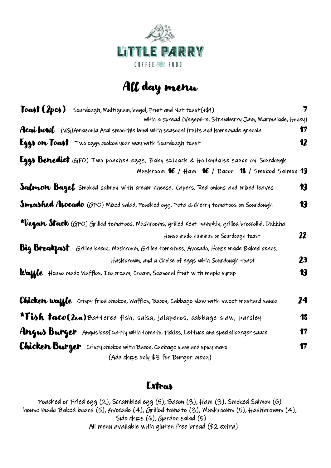

## All day menu

| Toast (2pcs) Sourdough, Multigrain, bagel, Fruit and Nut toast(+\$1)                              |                  |  |  |
|---------------------------------------------------------------------------------------------------|------------------|--|--|
| With a spread (Vegemite, Strawberry Jam, Marmalade, Honey)                                        |                  |  |  |
| <b>Acai bowl</b> (VG)Amazonia Acai smoothie bowl with seasonal fruits and homemade granola        | 17               |  |  |
| <b>Eggs on Toast</b> Two eggs cooked your way with Sourdough toast                                | $\boldsymbol{v}$ |  |  |
| Eggs Benedict (GFO) Two poached eggs, Baby spinach & Hollandaise sauce on Sourdough               |                  |  |  |
| Mushroom 16 / Ham 16 / Bacon 18 / Smoked Salmon 19                                                |                  |  |  |
| <b>Salmon Bagel</b> Smoked salmon with cream cheese, Capers, Red onions and mixed leaves          | 19               |  |  |
| <b>Smashed Avocado</b> (GFO) Mixed salad, Poached egg, Feta & cherry tomatoes on Sourdough        | 19               |  |  |
| *Vegan Stack (GFO) Grilled tomatoes, Mushrooms, grilled Kent pumpkin, grilled broccolini, Dukkha  |                  |  |  |
| House made hummus on Sourdough toast                                                              | 22               |  |  |
| <b>Big Breakfast</b> Grilled bacon, Mushroom, Grilled tomatoes, Avocado, House made Baked beans,  |                  |  |  |
| Hashbrown, and a Choice of eggs with Sourdough toast                                              | 23               |  |  |
| <b>Waffe</b> House made waffles, Ice cream, Cream, Seasonal fruit with maple syrup                | 19               |  |  |
| <b>Chicken Waffle</b> Crispy fried chicken, Waffles, Bacon, Cabbage slaw with sweet mustard sauce | 24               |  |  |
| *Fish taco(2ea)Battered fish, salsa, jalapenos, cabbage slaw, parsley                             | 18               |  |  |
| Angus Burger Angus beef patty with tomato, Pickles, Lettuce and special burger sauce              | 17               |  |  |
| <b>Chicken Burger</b> Crispy chicken with Bacon, Cabbage slaw and spicy mayo                      | 17               |  |  |
| (Add chips only \$3 for Burger menu)                                                              |                  |  |  |

## **Extras**

Poached or Fried egg (2), Scrambled egg (5), Bacon (3), Ham (3), Smoked Salmon (6) house made Baked beans (5), Avocado (4), Grilled tomato (3), Mushrooms (5), Hashbrowns (4), Side chips (6), Garden salad (5) All menu available with gluten free bread (\$2 extra)